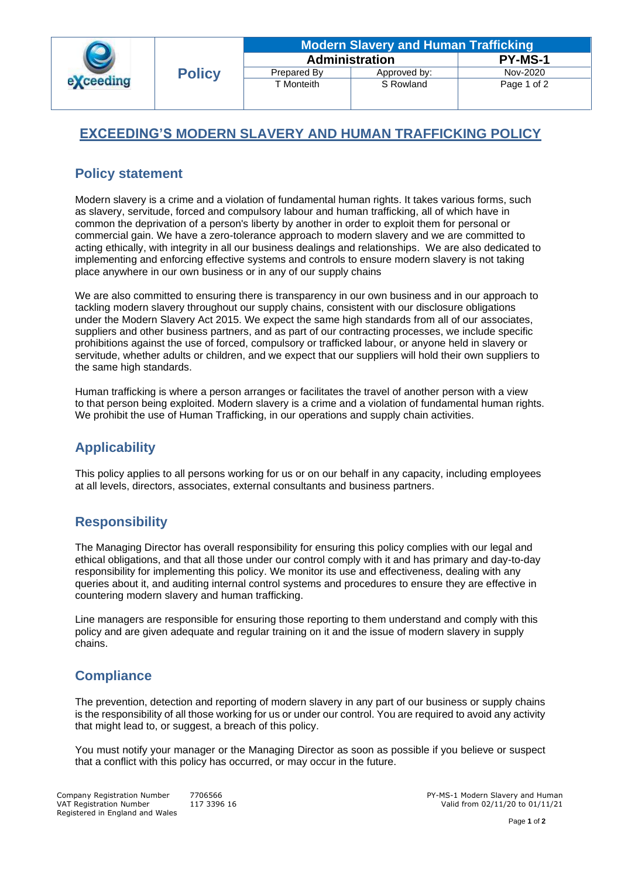| exceeding | <b>Policy</b> | <b>Modern Slavery and Human Trafficking</b> |              |                |
|-----------|---------------|---------------------------------------------|--------------|----------------|
|           |               | <b>Administration</b>                       |              | <b>PY-MS-1</b> |
|           |               | Prepared By                                 | Approved by: | Nov-2020       |
|           |               | T Monteith                                  | S Rowland    | Page 1 of 2    |
|           |               |                                             |              |                |

# **EXCEEDING'S MODERN SLAVERY AND HUMAN TRAFFICKING POLICY**

## **Policy statement**

Modern slavery is a crime and a violation of fundamental human rights. It takes various forms, such as slavery, servitude, forced and compulsory labour and human trafficking, all of which have in common the deprivation of a person's liberty by another in order to exploit them for personal or commercial gain. We have a zero-tolerance approach to modern slavery and we are committed to acting ethically, with integrity in all our business dealings and relationships. We are also dedicated to implementing and enforcing effective systems and controls to ensure modern slavery is not taking place anywhere in our own business or in any of our supply chains

We are also committed to ensuring there is transparency in our own business and in our approach to tackling modern slavery throughout our supply chains, consistent with our disclosure obligations under the Modern Slavery Act 2015. We expect the same high standards from all of our associates, suppliers and other business partners, and as part of our contracting processes, we include specific prohibitions against the use of forced, compulsory or trafficked labour, or anyone held in slavery or servitude, whether adults or children, and we expect that our suppliers will hold their own suppliers to the same high standards.

Human trafficking is where a person arranges or facilitates the travel of another person with a view to that person being exploited. Modern slavery is a crime and a violation of fundamental human rights. We prohibit the use of Human Trafficking, in our operations and supply chain activities.

# **Applicability**

This policy applies to all persons working for us or on our behalf in any capacity, including employees at all levels, directors, associates, external consultants and business partners.

## **Responsibility**

The Managing Director has overall responsibility for ensuring this policy complies with our legal and ethical obligations, and that all those under our control comply with it and has primary and day-to-day responsibility for implementing this policy. We monitor its use and effectiveness, dealing with any queries about it, and auditing internal control systems and procedures to ensure they are effective in countering modern slavery and human trafficking.

Line managers are responsible for ensuring those reporting to them understand and comply with this policy and are given adequate and regular training on it and the issue of modern slavery in supply chains.

## **Compliance**

The prevention, detection and reporting of modern slavery in any part of our business or supply chains is the responsibility of all those working for us or under our control. You are required to avoid any activity that might lead to, or suggest, a breach of this policy.

You must notify your manager or the Managing Director as soon as possible if you believe or suspect that a conflict with this policy has occurred, or may occur in the future.

Valid from  $02/11/20$  to  $01/11/21$